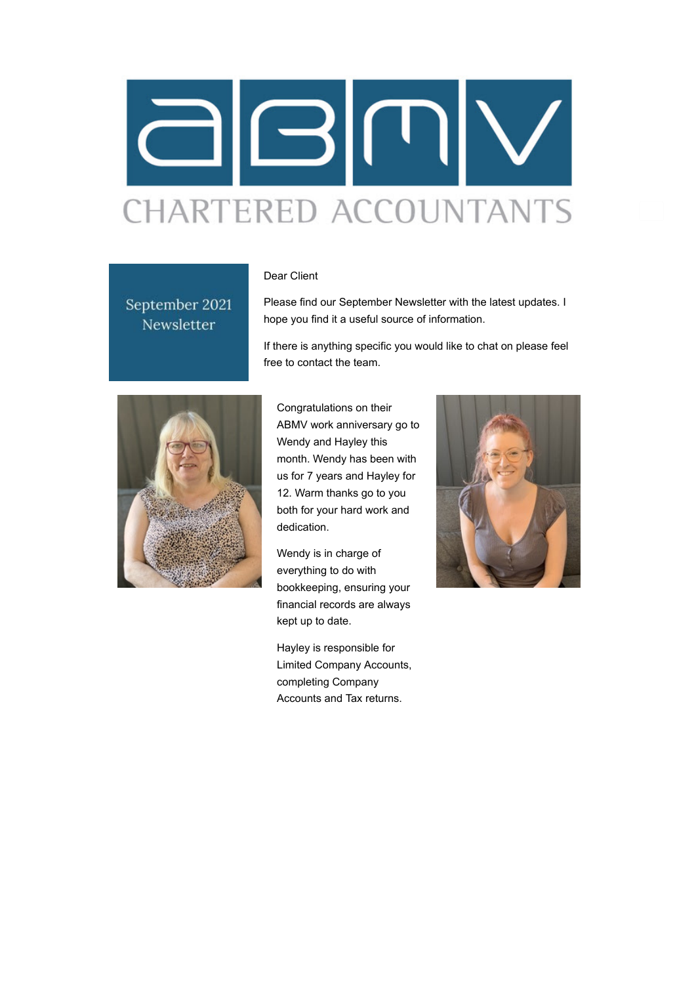

### Dear Client

September 2021 Newsletter

Please find our September Newsletter with the latest updates. I hope you find it a useful source of information.

If there is anything specific you would like to chat on please feel free to contact the team.



Congratulations on their ABMV work anniversary go to Wendy and Hayley this month. Wendy has been with us for 7 years and Hayley for 12. Warm thanks go to you both for your hard work and dedication.

Wendy is in charge of everything to do with bookkeeping, ensuring your financial records are always kept up to date.

Hayley is responsible for Limited Company Accounts, completing Company Accounts and Tax returns.

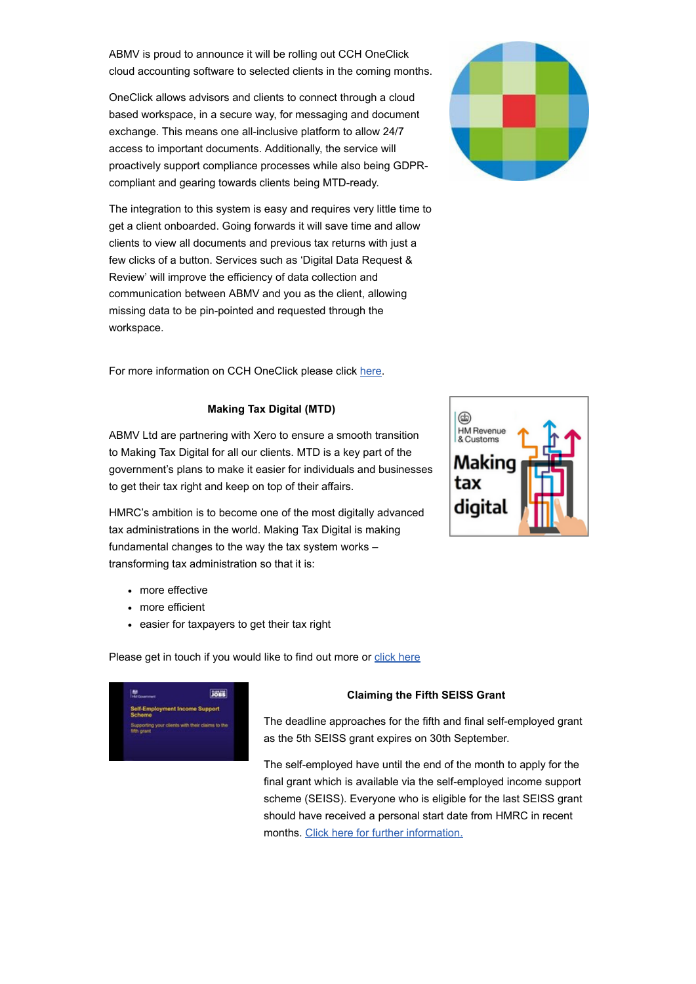ABMV is proud to announce it will be rolling out CCH OneClick cloud accounting software to selected clients in the coming months.

OneClick allows advisors and clients to connect through a cloud based workspace, in a secure way, for messaging and document exchange. This means one all-inclusive platform to allow 24/7 access to important documents. Additionally, the service will proactively support compliance processes while also being GDPRcompliant and gearing towards clients being MTD-ready.

The integration to this system is easy and requires very little time to get a client onboarded. Going forwards it will save time and allow clients to view all documents and previous tax returns with just a few clicks of a button. Services such as 'Digital Data Request & Review' will improve the efficiency of data collection and communication between ABMV and you as the client, allowing missing data to be pin-pointed and requested through the workspace.

For more information on CCH OneClick please click here.

### **Making Tax Digital (MTD)**

ABMV Ltd are partnering with Xero to ensure a smooth transition to Making Tax Digital for all our clients. MTD is a key part of the government's plans to make it easier for individuals and businesses to get their tax right and keep on top of their affairs.

HMRC's ambition is to become one of the most digitally advanced tax administrations in the world. Making Tax Digital is making fundamental changes to the way the tax system works – transforming tax administration so that it is:

- more effective
- more efficient
- easier for taxpayers to get their tax right

Please get in touch if you would like to find out more or click here



### **Claiming the Fifth SEISS Grant**

The deadline approaches for the fifth and final self-employed grant as the 5th SEISS grant expires on 30th September.

The self-employed have until the end of the month to apply for the final grant which is available via the self-employed income support scheme (SEISS). Everyone who is eligible for the last SEISS grant should have received a personal start date from HMRC in recent months. Click here for further information.



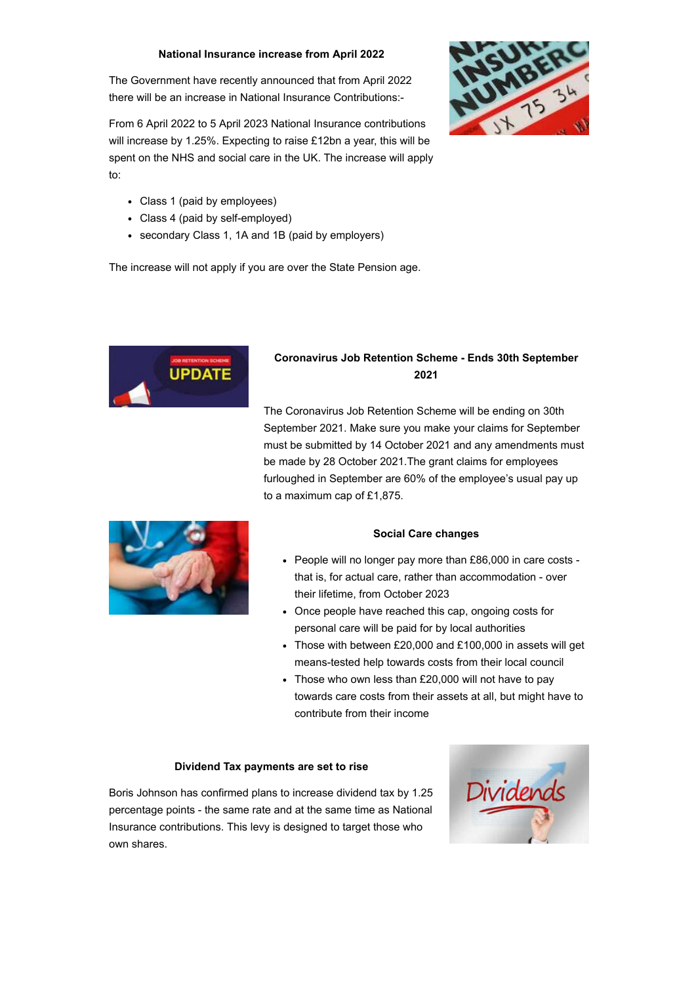#### **National Insurance increase from April 2022**

The Government have recently announced that from April 2022 there will be an increase in National Insurance Contributions:-

From 6 April 2022 to 5 April 2023 National Insurance contributions will increase by 1.25%. Expecting to raise £12bn a year, this will be spent on the NHS and social care in the UK. The increase will apply to:



- Class 1 (paid by employees)
- Class 4 (paid by self-employed)
- secondary Class 1, 1A and 1B (paid by employers)

The increase will not apply if you are over the State Pension age.



# **Coronavirus Job Retention Scheme - Ends 30th September 2021**

The Coronavirus Job Retention Scheme will be ending on 30th September 2021. Make sure you make your claims for September must be submitted by 14 October 2021 and any amendments must be made by 28 October 2021.The grant claims for employees furloughed in September are 60% of the employee's usual pay up to a maximum cap of £1,875.



### **Social Care changes**

- People will no longer pay more than £86,000 in care costs that is, for actual care, rather than accommodation - over their lifetime, from October 2023
- Once people have reached this cap, ongoing costs for personal care will be paid for by local authorities
- Those with between £20,000 and £100,000 in assets will get means-tested help towards costs from their local council
- Those who own less than £20,000 will not have to pay towards care costs from their assets at all, but might have to contribute from their income

### **Dividend Tax payments are set to rise**

Boris Johnson has confirmed plans to increase dividend tax by 1.25 percentage points - the same rate and at the same time as National Insurance contributions. This levy is designed to target those who own shares.

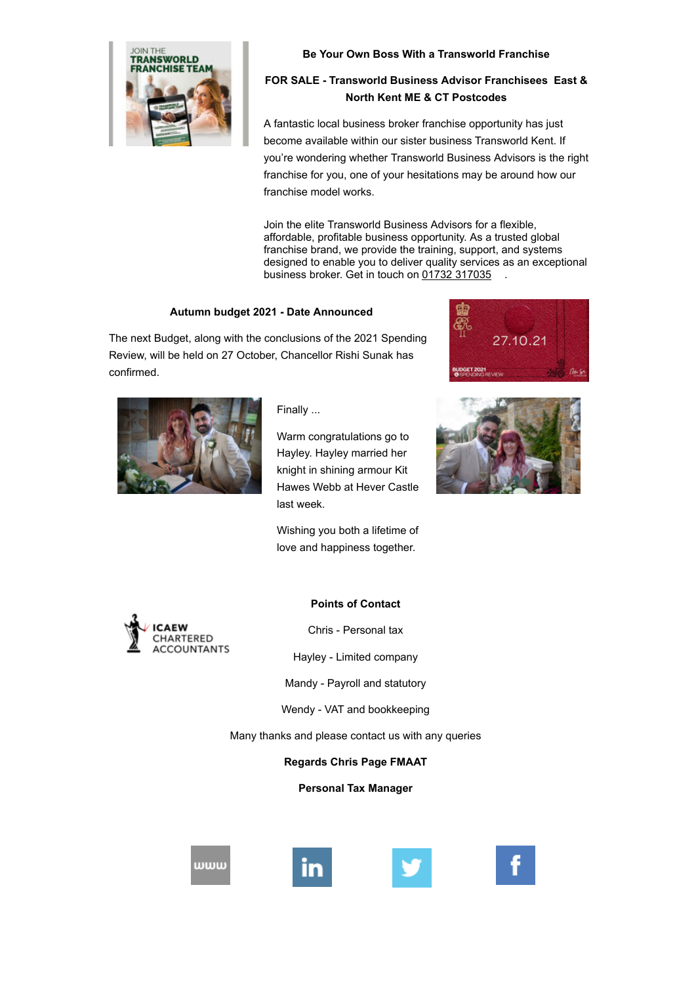

#### **Be Your Own Boss With a Transworld Franchise**

# **FOR SALE - Transworld Business Advisor Franchisees East & North Kent ME & CT Postcodes**

A fantastic local business broker franchise opportunity has just become available within our sister business Transworld Kent. If you're wondering whether Transworld Business Advisors is the right franchise for you, one of your hesitations may be around how our franchise model works.

Join the elite Transworld Business Advisors for a flexible, affordable, profitable business opportunity. As a trusted global franchise brand, we provide the training, support, and systems designed to enable you to deliver quality services as an exceptional business broker. Get in touch on 01732 317035

#### **Autumn budget 2021 - Date Announced**

The next Budget, along with the conclusions of the 2021 Spending Review, will be held on 27 October, Chancellor Rishi Sunak has confirmed.



Finally ...

Warm congratulations go to Hayley. Hayley married her knight in shining armour Kit Hawes Webb at Hever Castle last week.

Wishing you both a lifetime of love and happiness together.



**Points of Contact**

Chris - Personal tax

Hayley - Limited company

Mandy - Payroll and statutory

Wendy - VAT and bookkeeping

Many thanks and please contact us with any queries

# **Regards Chris Page FMAAT**

### **Personal Tax Manager**